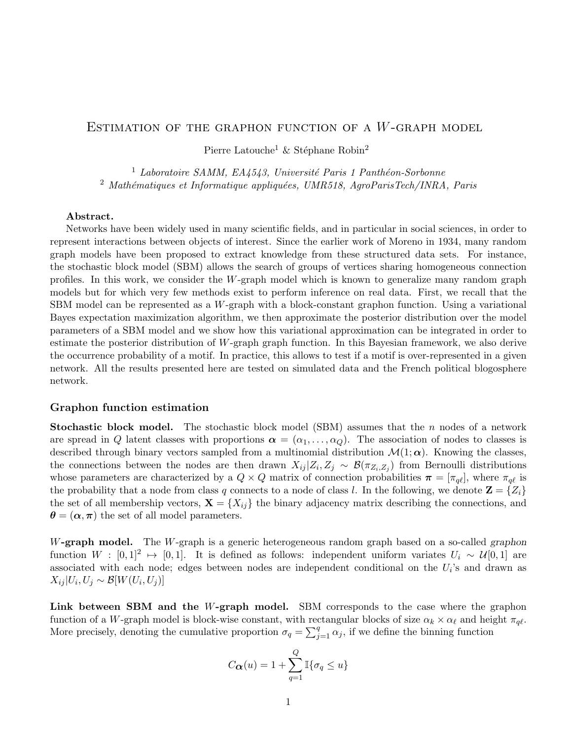## ESTIMATION OF THE GRAPHON FUNCTION OF A  $W$ -GRAPH MODEL

Pierre Latouche<sup>1</sup> & Stéphane Robin<sup>2</sup>

 $<sup>1</sup>$  Laboratoire SAMM, EA4543, Université Paris 1 Panthéon-Sorbonne</sup>  $2$  Mathématiques et Informatique appliquées, UMR518, AgroParisTech/INRA, Paris

## Abstract.

Networks have been widely used in many scientific fields, and in particular in social sciences, in order to represent interactions between objects of interest. Since the earlier work of Moreno in 1934, many random graph models have been proposed to extract knowledge from these structured data sets. For instance, the stochastic block model (SBM) allows the search of groups of vertices sharing homogeneous connection profiles. In this work, we consider the W-graph model which is known to generalize many random graph models but for which very few methods exist to perform inference on real data. First, we recall that the SBM model can be represented as a W-graph with a block-constant graphon function. Using a variational Bayes expectation maximization algorithm, we then approximate the posterior distribution over the model parameters of a SBM model and we show how this variational approximation can be integrated in order to estimate the posterior distribution of W-graph graph function. In this Bayesian framework, we also derive the occurrence probability of a motif. In practice, this allows to test if a motif is over-represented in a given network. All the results presented here are tested on simulated data and the French political blogosphere network.

## Graphon function estimation

**Stochastic block model.** The stochastic block model (SBM) assumes that the n nodes of a network are spread in Q latent classes with proportions  $\alpha = (\alpha_1, \ldots, \alpha_Q)$ . The association of nodes to classes is described through binary vectors sampled from a multinomial distribution  $\mathcal{M}(1;\alpha)$ . Knowing the classes, the connections between the nodes are then drawn  $X_{ij} | Z_i, Z_j \sim \mathcal{B}(\pi_{Z_i, Z_j})$  from Bernoulli distributions whose parameters are characterized by a  $Q \times Q$  matrix of connection probabilities  $\pi = [\pi_{q\ell}]$ , where  $\pi_{q\ell}$  is the probability that a node from class q connects to a node of class l. In the following, we denote  $\mathbf{Z} = \{Z_i\}$ the set of all membership vectors,  $\mathbf{X} = \{X_{ij}\}\$ the binary adjacency matrix describing the connections, and  $\theta = (\alpha, \pi)$  the set of all model parameters.

W-graph model. The W-graph is a generic heterogeneous random graph based on a so-called graphon function  $W : [0,1]^2 \rightarrow [0,1]$ . It is defined as follows: independent uniform variates  $U_i \sim \mathcal{U}[0,1]$  are associated with each node; edges between nodes are independent conditional on the  $U_i$ 's and drawn as  $X_{ij} | U_i, U_j \sim \mathcal{B}[W(U_i, U_j)]$ 

Link between SBM and the W-graph model. SBM corresponds to the case where the graphon function of a W-graph model is block-wise constant, with rectangular blocks of size  $\alpha_k \times \alpha_\ell$  and height  $\pi_{q\ell}$ . More precisely, denoting the cumulative proportion  $\sigma_q = \sum_{j=1}^q \alpha_j$ , if we define the binning function

$$
C_{\mathbf{\alpha}}(u) = 1 + \sum_{q=1}^{Q} \mathbb{I}\{\sigma_q \le u\}
$$